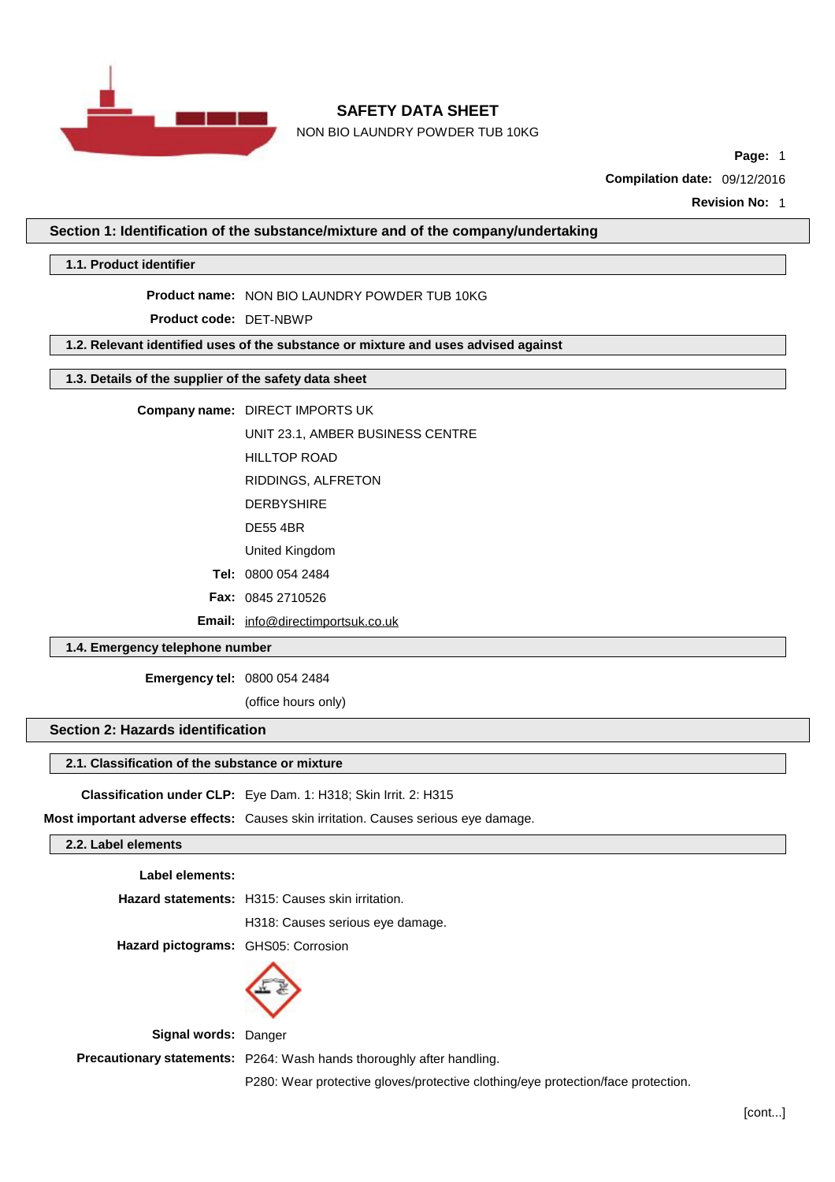

NON BIO LAUNDRY POWDER TUB 10KG

**Page:** 1

**Compilation date:** 09/12/2016

**Revision No:** 1

**Section 1: Identification of the substance/mixture and of the company/undertaking**

**1.1. Product identifier**

**Product name:** NON BIO LAUNDRY POWDER TUB 10KG

**Product code:** DET-NBWP

**1.2. Relevant identified uses of the substance or mixture and uses advised against**

## **1.3. Details of the supplier of the safety data sheet**

**Company name:** DIRECT IMPORTS UK

UNIT 23.1, AMBER BUSINESS CENTRE

HILLTOP ROAD

RIDDINGS, ALFRETON

DERBYSHIRE

DE55 4BR

United Kingdom

**Tel:** 0800 054 2484

**Fax:** 0845 2710526

**Email:** [info@directimportsuk.co.uk](mailto:info@directimportsuk.co.uk)

## **1.4. Emergency telephone number**

**Emergency tel:** 0800 054 2484

(office hours only)

## **Section 2: Hazards identification**

## **2.1. Classification of the substance or mixture**

**Classification under CLP:** Eye Dam. 1: H318; Skin Irrit. 2: H315

**Most important adverse effects:** Causes skin irritation. Causes serious eye damage.

## **2.2. Label elements**

**Label elements:**

**Hazard statements:** H315: Causes skin irritation.

H318: Causes serious eye damage.

**Hazard pictograms:** GHS05: Corrosion



**Signal words:** Danger

**Precautionary statements:** P264: Wash hands thoroughly after handling.

P280: Wear protective gloves/protective clothing/eye protection/face protection.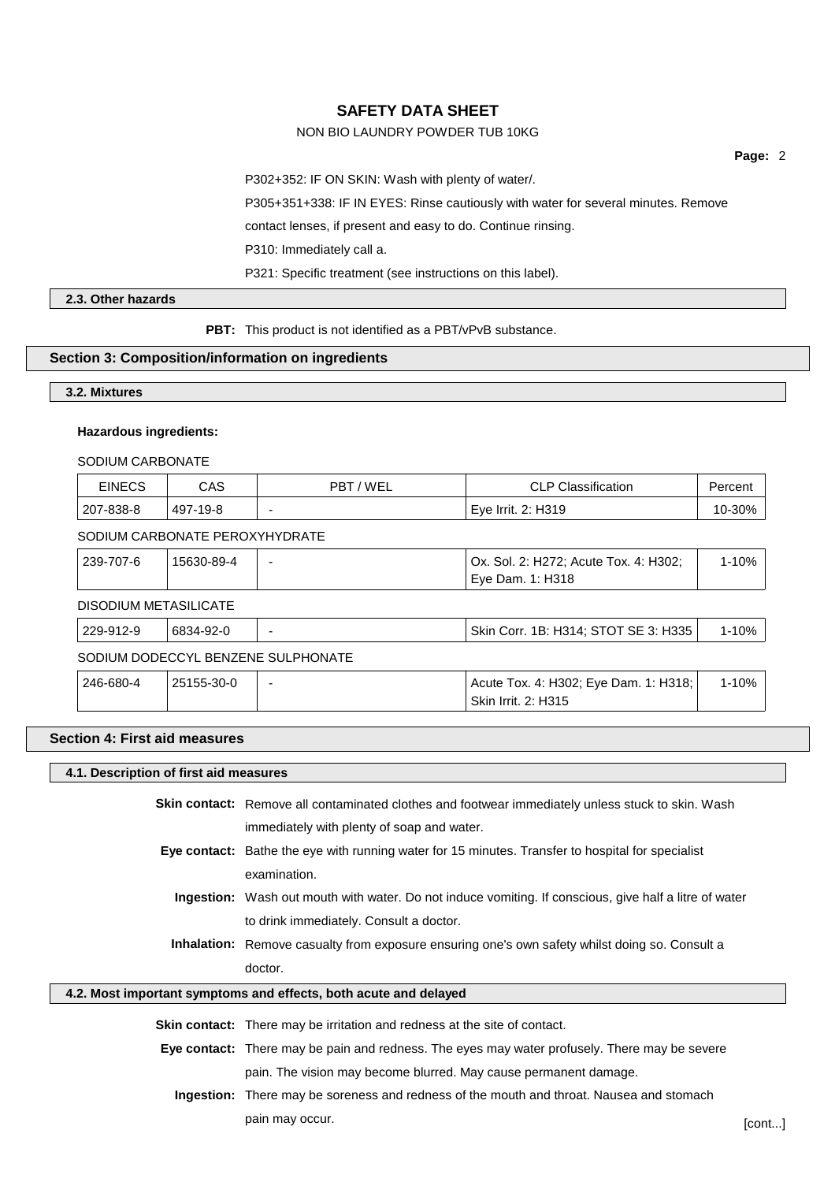## NON BIO LAUNDRY POWDER TUB 10KG

**Page:** 2

P302+352: IF ON SKIN: Wash with plenty of water/.

P305+351+338: IF IN EYES: Rinse cautiously with water for several minutes. Remove

contact lenses, if present and easy to do. Continue rinsing.

P310: Immediately call a.

P321: Specific treatment (see instructions on this label).

**2.3. Other hazards**

**PBT:** This product is not identified as a PBT/vPvB substance.

## **Section 3: Composition/information on ingredients**

**3.2. Mixtures**

## **Hazardous ingredients:**

SODIUM CARBONATE

| <b>EINECS</b> | CAS      | 'WEL<br>PBT | <b>CLP Classification</b> | Percent |
|---------------|----------|-------------|---------------------------|---------|
| 207-838-8     | 497-19-8 |             | Eye Irrit. 2: H319        | 10-30%  |

## SODIUM CARBONATE PEROXYHYDRATE

| 239-707-6             | 15630-89-4 | Ox. Sol. 2: H272; Acute Tox. 4: H302;<br>' Eye Dam. 1: H318 |       |
|-----------------------|------------|-------------------------------------------------------------|-------|
| DISODIUM METASILICATE |            |                                                             |       |
| 229-912-9             | 6834-92-0  | Skin Corr. 1B: H314; STOT SE 3: H335                        | 1-10% |

SODIUM DODECCYL BENZENE SULPHONATE

| 246-680-4 | 25155-30-0 | Acute Tox. 4: H302; Eye Dam. 1: H318; | 1-10% |  |
|-----------|------------|---------------------------------------|-------|--|
|           |            | Skin Irrit. 2: H315                   |       |  |

## **Section 4: First aid measures**

#### **4.1. Description of first aid measures**

**Skin contact:** Remove all contaminated clothes and footwear immediately unless stuck to skin. Wash immediately with plenty of soap and water. **Eye contact:** Bathe the eye with running water for 15 minutes. Transfer to hospital for specialist examination. **Ingestion:** Wash out mouth with water. Do not induce vomiting. If conscious, give half a litre of water to drink immediately. Consult a doctor. **Inhalation:** Remove casualty from exposure ensuring one's own safety whilst doing so. Consult a doctor.

## **4.2. Most important symptoms and effects, both acute and delayed**

**Skin contact:** There may be irritation and redness at the site of contact.

**Eye contact:** There may be pain and redness. The eyes may water profusely. There may be severe pain. The vision may become blurred. May cause permanent damage.

**Ingestion:** There may be soreness and redness of the mouth and throat. Nausea and stomach pain may occur. [cont...]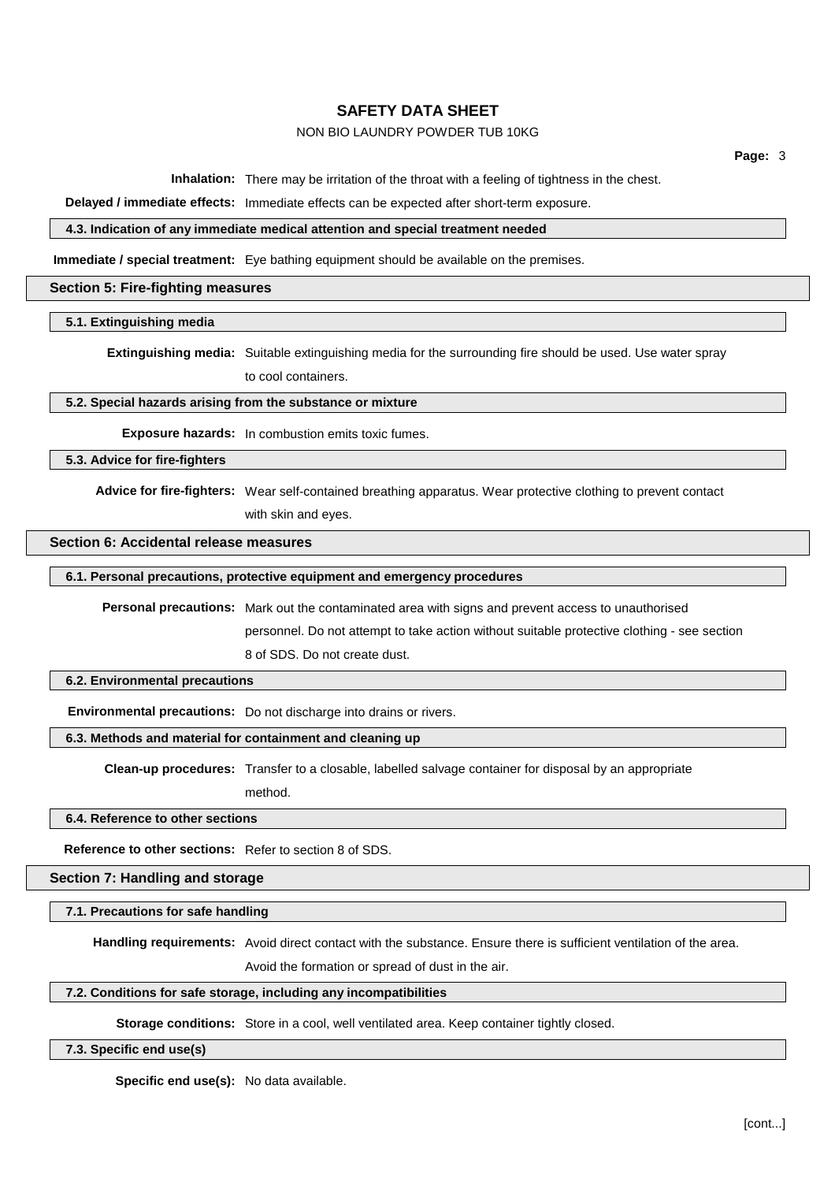## NON BIO LAUNDRY POWDER TUB 10KG

**Page:** 3

**Inhalation:** There may be irritation of the throat with a feeling of tightness in the chest.

**Delayed / immediate effects:** Immediate effects can be expected after short-term exposure.

## **4.3. Indication of any immediate medical attention and special treatment needed**

**Immediate / special treatment:** Eye bathing equipment should be available on the premises.

#### **Section 5: Fire-fighting measures**

#### **5.1. Extinguishing media**

**Extinguishing media:** Suitable extinguishing media for the surrounding fire should be used. Use water spray to cool containers.

## **5.2. Special hazards arising from the substance or mixture**

**Exposure hazards:** In combustion emits toxic fumes.

**5.3. Advice for fire-fighters**

**Advice for fire-fighters:** Wear self-contained breathing apparatus. Wear protective clothing to prevent contact with skin and eyes.

## **Section 6: Accidental release measures**

## **6.1. Personal precautions, protective equipment and emergency procedures**

**Personal precautions:** Mark out the contaminated area with signs and prevent access to unauthorised

personnel. Do not attempt to take action without suitable protective clothing - see section

8 of SDS. Do not create dust.

#### **6.2. Environmental precautions**

**Environmental precautions:** Do not discharge into drains or rivers.

## **6.3. Methods and material for containment and cleaning up**

**Clean-up procedures:** Transfer to a closable, labelled salvage container for disposal by an appropriate

method.

#### **6.4. Reference to other sections**

**Reference to other sections:** Refer to section 8 of SDS.

**Section 7: Handling and storage**

**7.1. Precautions for safe handling**

**Handling requirements:** Avoid direct contact with the substance. Ensure there is sufficient ventilation of the area.

Avoid the formation or spread of dust in the air.

## **7.2. Conditions for safe storage, including any incompatibilities**

**Storage conditions:** Store in a cool, well ventilated area. Keep container tightly closed.

**7.3. Specific end use(s)**

**Specific end use(s):** No data available.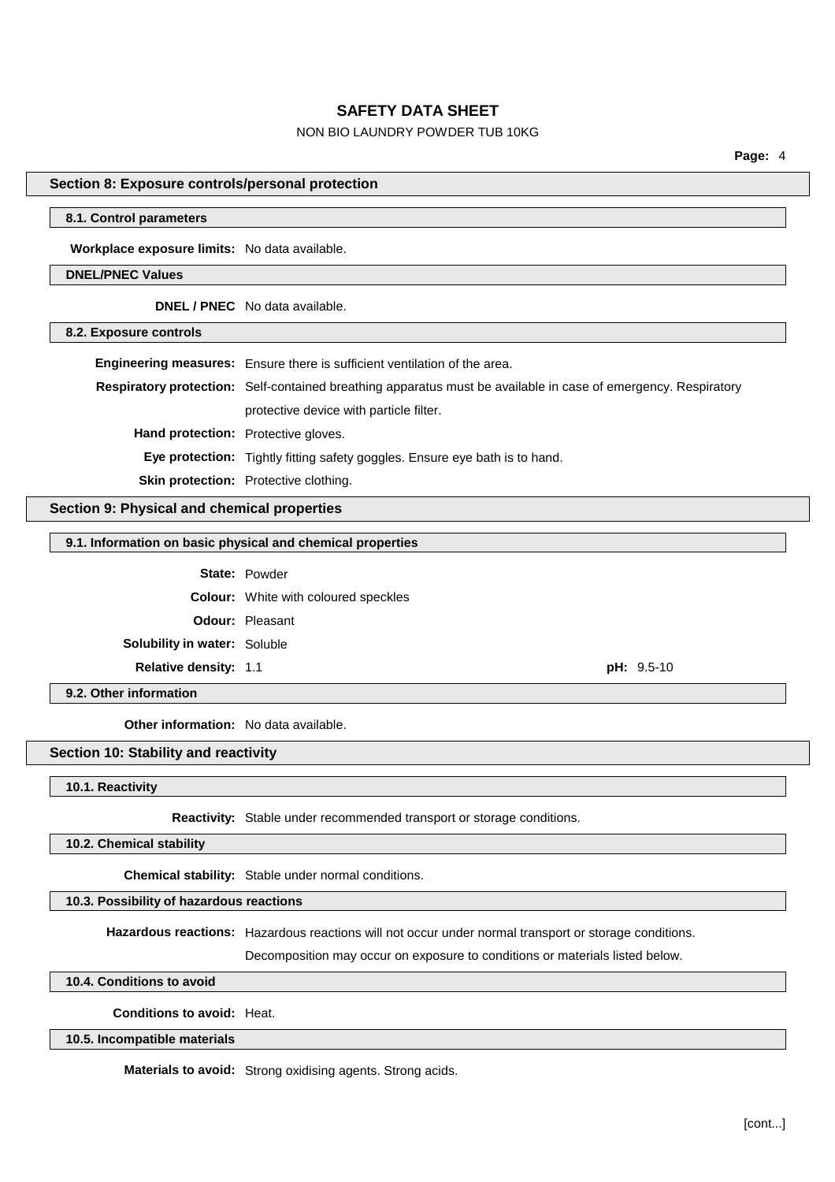## NON BIO LAUNDRY POWDER TUB 10KG

**Page:** 4

## **Section 8: Exposure controls/personal protection**

#### **8.1. Control parameters**

**Workplace exposure limits:** No data available.

### **DNEL/PNEC Values**

**DNEL / PNEC** No data available.

## **8.2. Exposure controls**

|                                            | Engineering measures: Ensure there is sufficient ventilation of the area.                                      |
|--------------------------------------------|----------------------------------------------------------------------------------------------------------------|
|                                            | Respiratory protection: Self-contained breathing apparatus must be available in case of emergency. Respiratory |
|                                            | protective device with particle filter.                                                                        |
| <b>Hand protection:</b> Protective gloves. |                                                                                                                |
|                                            | <b>Eye protection:</b> Tightly fitting safety goggles. Ensure eye bath is to hand.                             |
|                                            | <b>Skin protection:</b> Protective clothing.                                                                   |

## **Section 9: Physical and chemical properties**

#### **9.1. Information on basic physical and chemical properties**

|                                     | <b>State: Powder</b>                        |  |
|-------------------------------------|---------------------------------------------|--|
|                                     | <b>Colour:</b> White with coloured speckles |  |
|                                     | <b>Odour:</b> Pleasant                      |  |
| <b>Solubility in water: Soluble</b> |                                             |  |
| <b>Relative density: 1.1</b>        | $pH: 9.5-10$                                |  |

**9.2. Other information**

**Other information:** No data available.

## **Section 10: Stability and reactivity**

**10.1. Reactivity**

**Reactivity:** Stable under recommended transport or storage conditions.

**10.2. Chemical stability**

**Chemical stability:** Stable under normal conditions.

#### **10.3. Possibility of hazardous reactions**

**Hazardous reactions:** Hazardous reactions will not occur under normal transport or storage conditions.

Decomposition may occur on exposure to conditions or materials listed below.

**10.4. Conditions to avoid**

**Conditions to avoid:** Heat.

### **10.5. Incompatible materials**

**Materials to avoid:** Strong oxidising agents. Strong acids.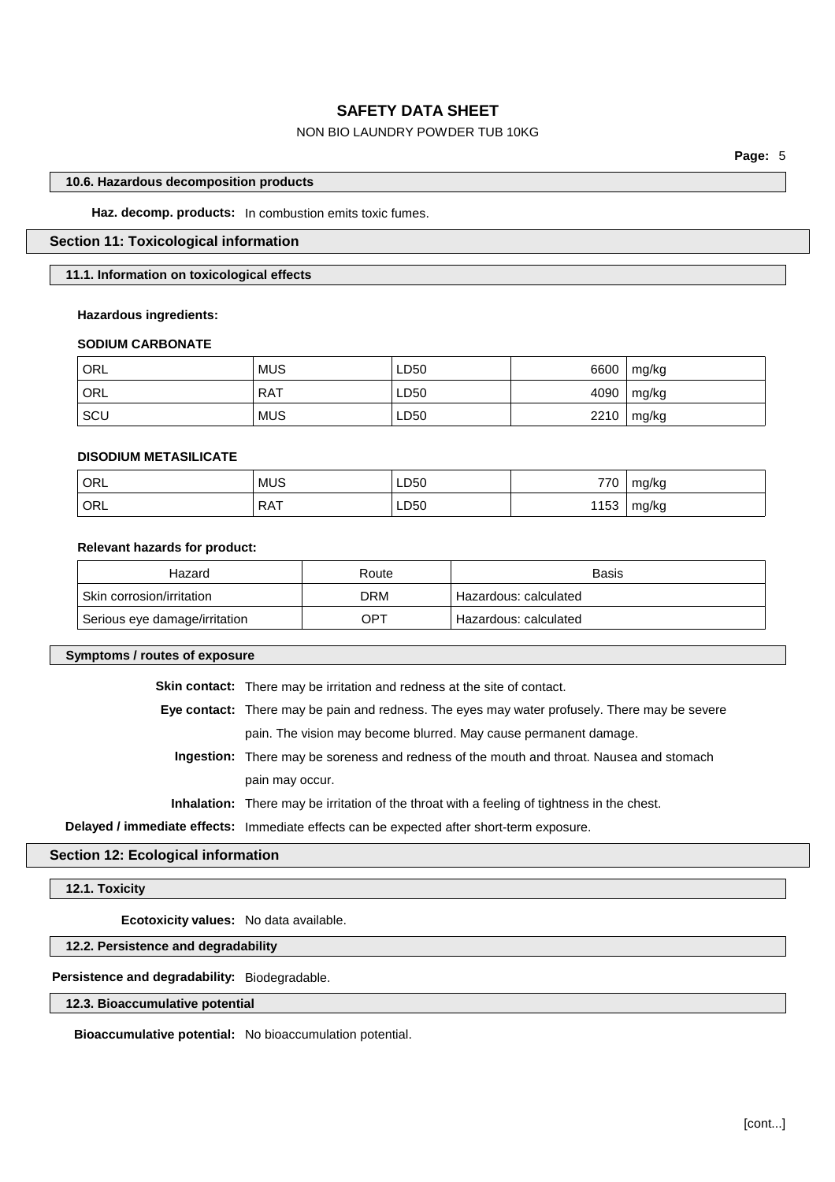## NON BIO LAUNDRY POWDER TUB 10KG

**Page:** 5

#### **10.6. Hazardous decomposition products**

**Haz. decomp. products:** In combustion emits toxic fumes.

## **Section 11: Toxicological information**

### **11.1. Information on toxicological effects**

#### **Hazardous ingredients:**

#### **SODIUM CARBONATE**

| <sup> </sup> ORL | <b>MUS</b> | LD50 | 6600 | mg/kg |
|------------------|------------|------|------|-------|
| ORL              | <b>RAT</b> | LD50 | 4090 | mg/kg |
| ∣ sc∪            | <b>MUS</b> | LD50 | 2210 | mg/kg |

### **DISODIUM METASILICATE**

| ORL | <b>MUS</b>          | LD50 | 770            | mg/kg |
|-----|---------------------|------|----------------|-------|
| ORL | $PA^+$<br>NA I<br>. | LD50 | 1153<br>1 I JJ | mg/kg |

## **Relevant hazards for product:**

| Hazard                        | Route | <b>Basis</b>          |
|-------------------------------|-------|-----------------------|
| ' Skin corrosion/irritation   | DRM   | Hazardous: calculated |
| Serious eye damage/irritation | OPT   | Hazardous: calculated |

#### **Symptoms / routes of exposure**

**Skin contact:** There may be irritation and redness at the site of contact.

**Eye contact:** There may be pain and redness. The eyes may water profusely. There may be severe

pain. The vision may become blurred. May cause permanent damage.

**Ingestion:** There may be soreness and redness of the mouth and throat. Nausea and stomach pain may occur.

**Inhalation:** There may be irritation of the throat with a feeling of tightness in the chest.

**Delayed / immediate effects:** Immediate effects can be expected after short-term exposure.

**Section 12: Ecological information**

**12.1. Toxicity**

**Ecotoxicity values:** No data available.

**12.2. Persistence and degradability**

## **Persistence and degradability:** Biodegradable.

#### **12.3. Bioaccumulative potential**

**Bioaccumulative potential:** No bioaccumulation potential.